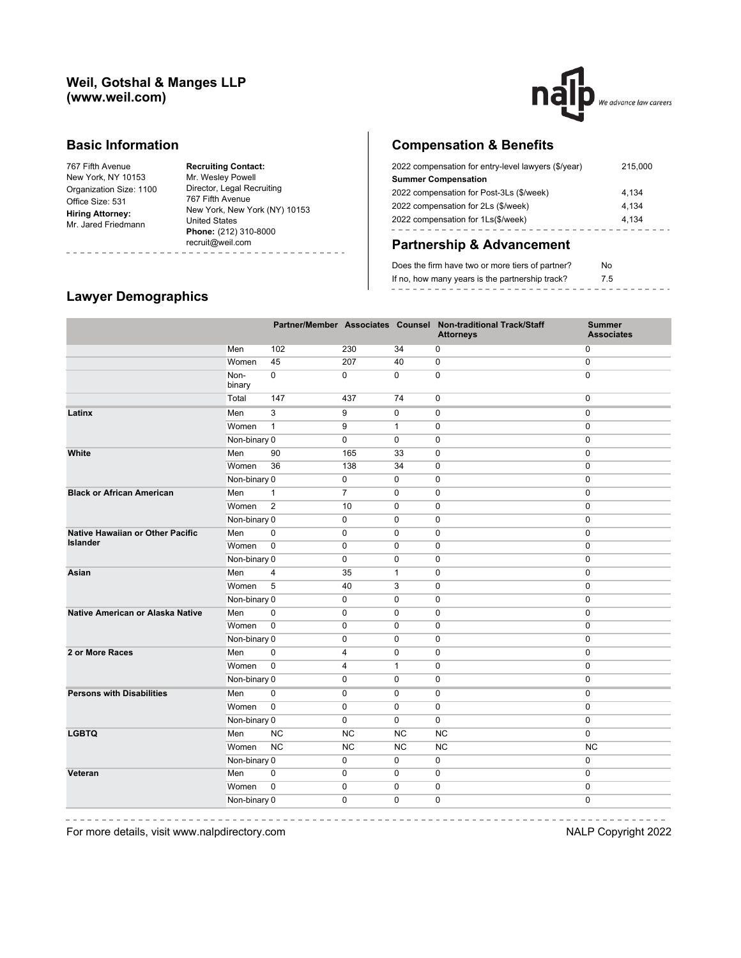### **Weil, Gotshal & Manges LLP (www.weil.com)**



#### **Basic Information**

| 767 Fifth Avenue        |
|-------------------------|
| New York, NY 10153      |
| Organization Size: 1100 |
| Office Size: 531        |
| <b>Hiring Attorney:</b> |
| Mr. Jared Friedmann     |

**Recruiting Contact:** Mr. Wesley Powell Director, Legal Recruiting 767 Fifth Avenue New York, New York (NY) 10153 United States **Phone:** (212) 310-8000 recruit@weil.com  $\hspace{0.1cm} - \hspace{0.1cm} - \hspace{0.1cm} - \hspace{0.1cm} - \hspace{0.1cm} -$ 

## **Compensation & Benefits**

| 2022 compensation for entry-level lawyers (\$/year) | 215,000 |
|-----------------------------------------------------|---------|
| <b>Summer Compensation</b>                          |         |
| 2022 compensation for Post-3Ls (\$/week)            | 4.134   |
| 2022 compensation for 2Ls (\$/week)                 | 4.134   |
| 2022 compensation for 1Ls(\$/week)                  | 4.134   |
|                                                     |         |

### **Partnership & Advancement**

| Does the firm have two or more tiers of partner? | N٥  |  |
|--------------------------------------------------|-----|--|
| If no, how many years is the partnership track?  | 7.5 |  |
|                                                  |     |  |

## **Lawyer Demographics**

|                                         |                |                |                |              | Partner/Member Associates Counsel Non-traditional Track/Staff<br><b>Attorneys</b> | <b>Summer</b><br><b>Associates</b> |
|-----------------------------------------|----------------|----------------|----------------|--------------|-----------------------------------------------------------------------------------|------------------------------------|
|                                         | Men            | 102            | 230            | 34           | 0                                                                                 | 0                                  |
|                                         | Women          | 45             | 207            | 40           | 0                                                                                 | 0                                  |
|                                         | Non-<br>binary | $\pmb{0}$      | $\pmb{0}$      | $\mathbf 0$  | 0                                                                                 | 0                                  |
|                                         | Total          | 147            | 437            | 74           | 0                                                                                 | $\overline{0}$                     |
| Latinx                                  | Men            | 3              | 9              | 0            | 0                                                                                 | 0                                  |
|                                         | Women          | $\mathbf{1}$   | 9              | $\mathbf{1}$ | 0                                                                                 | 0                                  |
|                                         | Non-binary 0   |                | $\pmb{0}$      | $\mathbf 0$  | 0                                                                                 | 0                                  |
| White                                   | Men            | 90             | 165            | 33           | 0                                                                                 | 0                                  |
|                                         | Women          | 36             | 138            | 34           | 0                                                                                 | 0                                  |
|                                         | Non-binary 0   |                | 0              | $\mathbf 0$  | $\mathbf 0$                                                                       | 0                                  |
| <b>Black or African American</b>        | Men            | $\mathbf{1}$   | $\overline{7}$ | $\mathbf 0$  | $\mathbf 0$                                                                       | 0                                  |
|                                         | Women          | $\overline{2}$ | 10             | $\mathbf 0$  | $\mathbf 0$                                                                       | 0                                  |
|                                         | Non-binary 0   |                | 0              | 0            | 0                                                                                 | 0                                  |
| <b>Native Hawaiian or Other Pacific</b> | Men            | 0              | 0              | 0            | 0                                                                                 | 0                                  |
| <b>Islander</b>                         | Women          | $\pmb{0}$      | $\pmb{0}$      | 0            | 0                                                                                 | 0                                  |
|                                         | Non-binary 0   |                | 0              | 0            | 0                                                                                 | 0                                  |
| Asian                                   | Men            | 4              | 35             | $\mathbf{1}$ | 0                                                                                 | 0                                  |
|                                         | Women          | 5              | 40             | 3            | 0                                                                                 | 0                                  |
|                                         | Non-binary 0   |                | $\mathbf 0$    | $\mathbf 0$  | 0                                                                                 | 0                                  |
| Native American or Alaska Native        | Men            | $\mathbf 0$    | $\mathbf 0$    | $\mathbf 0$  | 0                                                                                 | 0                                  |
|                                         | Women          | $\pmb{0}$      | 0              | 0            | 0                                                                                 | 0                                  |
|                                         | Non-binary 0   |                | 0              | 0            | 0                                                                                 | 0                                  |
| 2 or More Races                         | Men            | $\pmb{0}$      | $\overline{4}$ | 0            | 0                                                                                 | 0                                  |
|                                         | Women          | $\pmb{0}$      | $\overline{4}$ | $\mathbf{1}$ | 0                                                                                 | 0                                  |
|                                         | Non-binary 0   |                | 0              | $\mathbf 0$  | 0                                                                                 | 0                                  |
| <b>Persons with Disabilities</b>        | Men            | 0              | 0              | 0            | 0                                                                                 | 0                                  |
|                                         | Women          | $\mathbf 0$    | 0              | $\mathbf 0$  | 0                                                                                 | 0                                  |
|                                         | Non-binary 0   |                | 0              | $\mathbf 0$  | 0                                                                                 | 0                                  |
| <b>LGBTQ</b>                            | Men            | <b>NC</b>      | <b>NC</b>      | <b>NC</b>    | <b>NC</b>                                                                         | 0                                  |
|                                         | Women          | NC             | <b>NC</b>      | <b>NC</b>    | NC                                                                                | NC                                 |
|                                         | Non-binary 0   |                | 0              | 0            | 0                                                                                 | 0                                  |
| Veteran                                 | Men            | 0              | 0              | 0            | 0                                                                                 | 0                                  |
|                                         | Women          | $\mathbf 0$    | 0              | $\mathbf 0$  | 0                                                                                 | 0                                  |
|                                         | Non-binary 0   |                | $\mathbf 0$    | $\Omega$     | 0                                                                                 | 0                                  |
|                                         |                |                |                |              |                                                                                   |                                    |

 $- - - - - -$ 

--------------------------For more details, visit www.nalpdirectory.com **NALP Copyright 2022**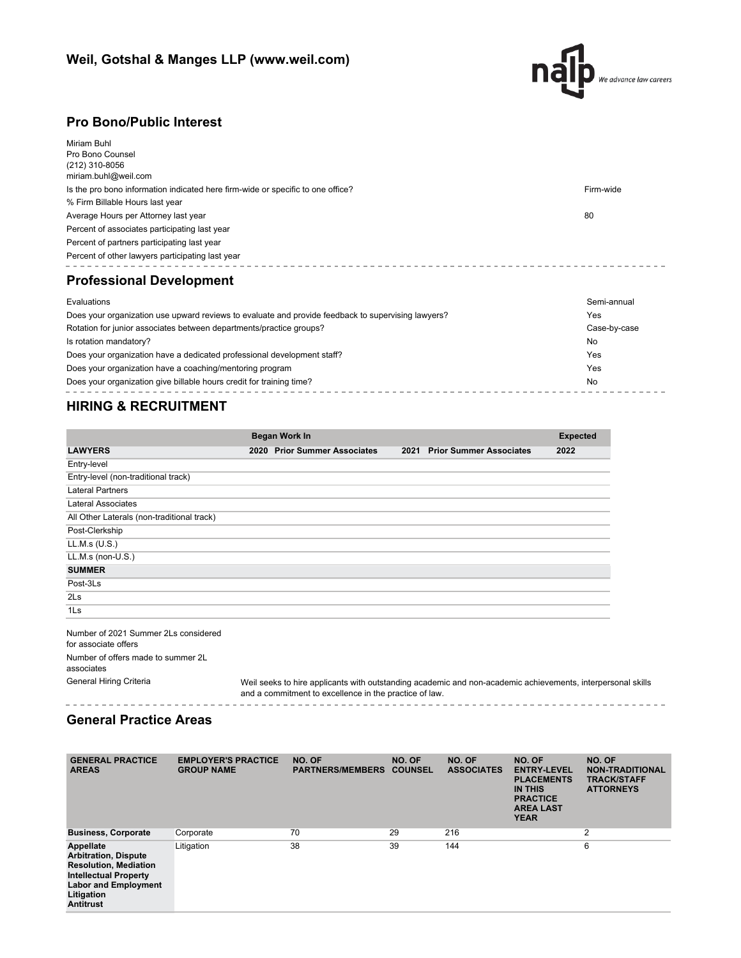

. . . . . . . . . . .

### **Pro Bono/Public Interest**

| Miriam Buhl<br>Pro Bono Counsel                                                                    |              |
|----------------------------------------------------------------------------------------------------|--------------|
| (212) 310-8056                                                                                     |              |
| miriam.buhl@weil.com                                                                               |              |
| Is the pro bono information indicated here firm-wide or specific to one office?                    | Firm-wide    |
| % Firm Billable Hours last year                                                                    |              |
| Average Hours per Attorney last year                                                               | 80           |
| Percent of associates participating last year                                                      |              |
| Percent of partners participating last year                                                        |              |
| Percent of other lawyers participating last year                                                   |              |
| <b>Professional Development</b>                                                                    |              |
| Evaluations                                                                                        | Semi-annual  |
| Does your organization use upward reviews to evaluate and provide feedback to supervising lawyers? | Yes          |
| Rotation for junior associates between departments/practice groups?                                | Case-by-case |
| Is rotation mandatory?                                                                             | <b>No</b>    |
| Does your organization have a dedicated professional development staff?                            | Yes          |
| Does your organization have a coaching/mentoring program                                           | Yes          |

Does your organization give billable hours credit for training time? No

### **HIRING & RECRUITMENT**

|                                                              | Began Work In                                          |      |                                                                                                             | <b>Expected</b> |
|--------------------------------------------------------------|--------------------------------------------------------|------|-------------------------------------------------------------------------------------------------------------|-----------------|
| <b>LAWYERS</b>                                               | 2020 Prior Summer Associates                           | 2021 | <b>Prior Summer Associates</b>                                                                              | 2022            |
| Entry-level                                                  |                                                        |      |                                                                                                             |                 |
| Entry-level (non-traditional track)                          |                                                        |      |                                                                                                             |                 |
| <b>Lateral Partners</b>                                      |                                                        |      |                                                                                                             |                 |
| <b>Lateral Associates</b>                                    |                                                        |      |                                                                                                             |                 |
| All Other Laterals (non-traditional track)                   |                                                        |      |                                                                                                             |                 |
| Post-Clerkship                                               |                                                        |      |                                                                                                             |                 |
| LL.M.s (U.S.)                                                |                                                        |      |                                                                                                             |                 |
| LL.M.s (non-U.S.)                                            |                                                        |      |                                                                                                             |                 |
| <b>SUMMER</b>                                                |                                                        |      |                                                                                                             |                 |
| Post-3Ls                                                     |                                                        |      |                                                                                                             |                 |
| 2 <sub>ls</sub>                                              |                                                        |      |                                                                                                             |                 |
| 1 <sub>ls</sub>                                              |                                                        |      |                                                                                                             |                 |
| Number of 2021 Summer 2Ls considered<br>for associate offers |                                                        |      |                                                                                                             |                 |
| Number of offers made to summer 2L<br>associates             |                                                        |      |                                                                                                             |                 |
| General Hiring Criteria                                      | and a commitment to excellence in the practice of law. |      | Weil seeks to hire applicants with outstanding academic and non-academic achievements, interpersonal skills |                 |

#### **General Practice Areas**

| <b>GENERAL PRACTICE</b><br><b>AREAS</b>                                                                                                                                   | <b>EMPLOYER'S PRACTICE</b><br><b>GROUP NAME</b> | NO. OF<br><b>PARTNERS/MEMBERS</b> | NO. OF<br><b>COUNSEL</b> | NO. OF<br><b>ASSOCIATES</b> | NO. OF<br><b>ENTRY-LEVEL</b><br><b>PLACEMENTS</b><br>IN THIS<br><b>PRACTICE</b><br><b>AREA LAST</b><br><b>YEAR</b> | NO. OF<br><b>NON-TRADITIONAL</b><br><b>TRACK/STAFF</b><br><b>ATTORNEYS</b> |
|---------------------------------------------------------------------------------------------------------------------------------------------------------------------------|-------------------------------------------------|-----------------------------------|--------------------------|-----------------------------|--------------------------------------------------------------------------------------------------------------------|----------------------------------------------------------------------------|
| <b>Business, Corporate</b>                                                                                                                                                | Corporate                                       | 70                                | 29                       | 216                         |                                                                                                                    | 2                                                                          |
| Appellate<br><b>Arbitration, Dispute</b><br><b>Resolution, Mediation</b><br><b>Intellectual Property</b><br><b>Labor and Employment</b><br>Litigation<br><b>Antitrust</b> | Litigation                                      | 38                                | 39                       | 144                         |                                                                                                                    | 6                                                                          |